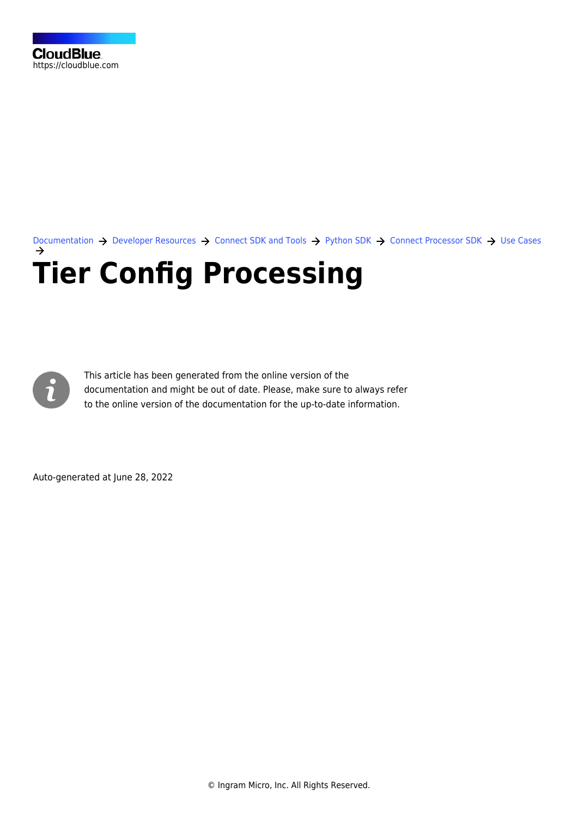[Documentation](https://connect.cloudblue.com/documentation)  $\rightarrow$  [Developer Resources](https://connect.cloudblue.com/community/developers/)  $\rightarrow$  [Connect SDK and Tools](https://connect.cloudblue.com/community/developers/sdk/)  $\rightarrow$  [Python SDK](https://connect.cloudblue.com/community/developers/sdk/python-sdk/)  $\rightarrow$  [Connect Processor SDK](https://connect.cloudblue.com/community/developers/sdk/python-sdk/connect-processor-sdk/)  $\rightarrow$  [Use Cases](https://connect.cloudblue.com/community/developers/sdk/python-sdk/connect-processor-sdk/use-cases/) **[Tier Config Processing](https://connect.cloudblue.com/community/developers/sdk/python-sdk/connect-processor-sdk/use-cases/tier-config-processing/)**



This article has been generated from the online version of the documentation and might be out of date. Please, make sure to always refer to the online version of the documentation for the up-to-date information.

Auto-generated at June 28, 2022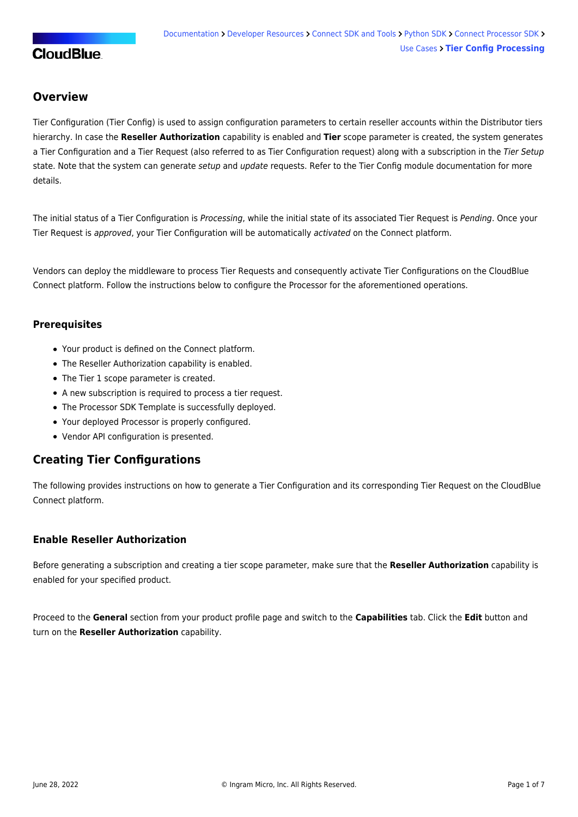## **Overview**

Tier Configuration (Tier Config) is used to assign configuration parameters to certain reseller accounts within the Distributor tiers hierarchy. In case the **Reseller Authorization** capability is enabled and **Tier** scope parameter is created, the system generates a Tier Configuration and a Tier Request (also referred to as Tier Configuration request) along with a subscription in the Tier Setup state. Note that the system can generate setup and update requests. Refer to the [Tier Config module](https://connect.cloudblue.com/community/modules/tier-config/) documentation for more details.

The initial status of a Tier Configuration is Processing, while the initial state of its associated Tier Request is Pending. Once your Tier Request is approved, your Tier Configuration will be automatically activated on the Connect platform.

Vendors can deploy the middleware to process Tier Requests and consequently activate Tier Configurations on the CloudBlue Connect platform. Follow the instructions below to configure the Processor for the aforementioned operations.

#### **Prerequisites**

- Your [product](https://connect.cloudblue.com/community/modules/products/) is defined on the Connect platform.
- The [Reseller Authorization](https://connect.cloudblue.com/community/modules/products/capabilities/) capability is enabled.
- The [Tier 1 scope parameter](https://connect.cloudblue.com/community/modules/products/parameters/tier-parameters/) is created.
- A new [subscription](https://connect.cloudblue.com/community/modules/subscriptions/subscription-creation/) is required to process a tier request.
- The [Processor SDK Template](https://connect.cloudblue.com/community/sdk/connect-processor-sdk/processor-template/) is successfully deployed.
- Your deployed Processor is [properly configured.](https://connect.cloudblue.com/community/sdk/connect-processor-sdk/configuration/)
- [Vendor API configuration](https://connect.cloudblue.com/community/sdk/connect-processor-sdk/configuration/#Connection_configuration) is presented.

### **Creating Tier Configurations**

The following provides instructions on how to generate a Tier Configuration and its corresponding Tier Request on the CloudBlue Connect platform.

### **Enable Reseller Authorization**

Before generating a subscription and creating a tier scope parameter, make sure that the **Reseller Authorization** capability is enabled for your specified product.

Proceed to the **General** section from your product profile page and switch to the **Capabilities** tab. Click the **Edit** button and turn on the **Reseller Authorization** capability.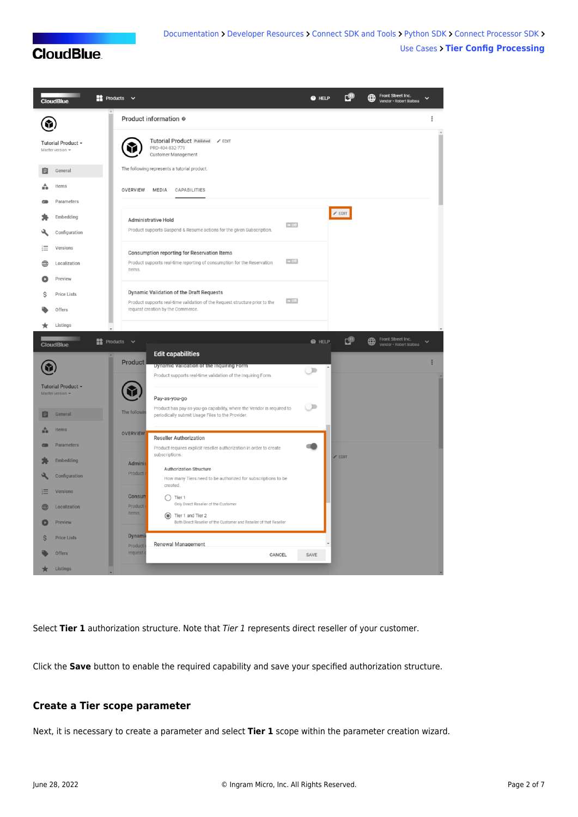

Select Tier 1 authorization structure. Note that Tier 1 represents direct reseller of your customer.

Click the **Save** button to enable the required capability and save your specified authorization structure.

#### **Create a Tier scope parameter**

Next, it is necessary to create a parameter and select **Tier 1** scope within the parameter creation wizard.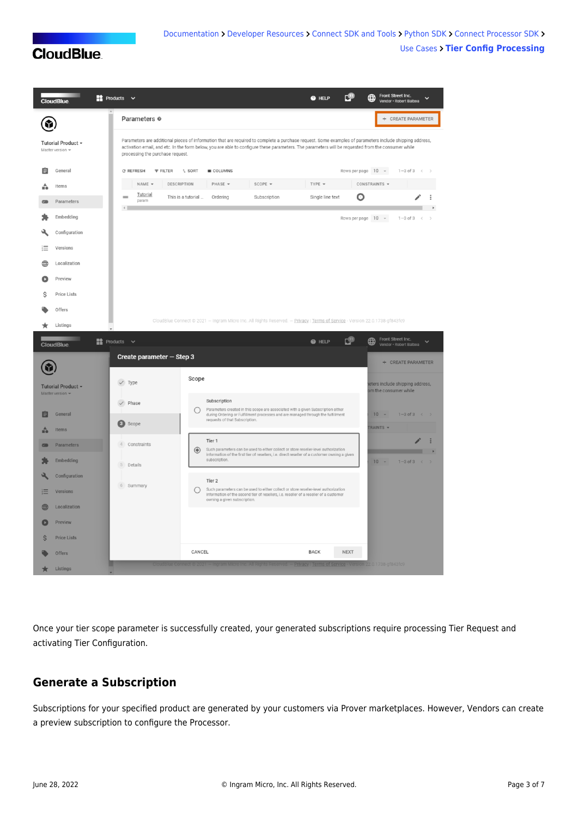|                                             | <b>CloudBlue</b>                          | $\rightarrow$ Products $\sim$                                                                                                                                                                                                                                                                                                                     |                                               |                                                |                                                                                                                                                                                      | @ HELP                 |                             | Front Street Inc.<br>∰<br>$\checkmark$<br>Vendor · Robert Balboa |  |  |
|---------------------------------------------|-------------------------------------------|---------------------------------------------------------------------------------------------------------------------------------------------------------------------------------------------------------------------------------------------------------------------------------------------------------------------------------------------------|-----------------------------------------------|------------------------------------------------|--------------------------------------------------------------------------------------------------------------------------------------------------------------------------------------|------------------------|-----------------------------|------------------------------------------------------------------|--|--|
|                                             |                                           | Parameters <sup>®</sup>                                                                                                                                                                                                                                                                                                                           |                                               |                                                |                                                                                                                                                                                      |                        |                             | $^{+}$<br>CREATE PARAMETER                                       |  |  |
| Tutorial Product -<br>Master version $\sim$ |                                           | Parameters are additional pieces of information that are required to complete a purchase request. Some examples of parameters include shipping address,<br>activation email, and etc. In the form below, you are able to configure these parameters. The parameters will be requested from the consumer while<br>processing the purchase request. |                                               |                                                |                                                                                                                                                                                      |                        |                             |                                                                  |  |  |
| 自<br>÷                                      | General<br>Items                          | C REFRESH<br><b>FILTER</b><br>NAME -<br>DESCRIPTION                                                                                                                                                                                                                                                                                               | $L$ SORT                                      | <b>III</b> COLUMNS<br>PHASE -                  | SCOPE -                                                                                                                                                                              | TYPE -                 | Rows per page 10 -          | $1 - 3$ of $3$<br>$\,<$<br>CONSTRAINTS -                         |  |  |
|                                             | Parameters                                | Tutorial<br>param<br>$\leftarrow$                                                                                                                                                                                                                                                                                                                 | This is a tutorial                            | Ordering                                       | Subscription                                                                                                                                                                         | Single line text       | O                           |                                                                  |  |  |
|                                             | Embedding                                 |                                                                                                                                                                                                                                                                                                                                                   |                                               |                                                |                                                                                                                                                                                      |                        | Rows per page 10 -          | $1 - 3$ of $3$<br>$\prec$                                        |  |  |
|                                             | Configuration                             |                                                                                                                                                                                                                                                                                                                                                   |                                               |                                                |                                                                                                                                                                                      |                        |                             |                                                                  |  |  |
| 這                                           | Versions                                  |                                                                                                                                                                                                                                                                                                                                                   |                                               |                                                |                                                                                                                                                                                      |                        |                             |                                                                  |  |  |
| ∰                                           | Localization                              |                                                                                                                                                                                                                                                                                                                                                   |                                               |                                                |                                                                                                                                                                                      |                        |                             |                                                                  |  |  |
|                                             | Preview                                   |                                                                                                                                                                                                                                                                                                                                                   |                                               |                                                |                                                                                                                                                                                      |                        |                             |                                                                  |  |  |
| Ś                                           | <b>Price Lists</b>                        |                                                                                                                                                                                                                                                                                                                                                   |                                               |                                                |                                                                                                                                                                                      |                        |                             |                                                                  |  |  |
|                                             | Offers                                    |                                                                                                                                                                                                                                                                                                                                                   |                                               |                                                |                                                                                                                                                                                      |                        |                             |                                                                  |  |  |
| ÷                                           | Listings                                  |                                                                                                                                                                                                                                                                                                                                                   |                                               |                                                | CloudBlue Connect @ 2021 - Ingram Micro Inc. All Rights Reserved. - Privacy   Terms of Service - Version 22.0.1738-gf843fc9                                                          |                        |                             |                                                                  |  |  |
|                                             | <b>CloudBlue</b>                          | ■ Products $\sim$                                                                                                                                                                                                                                                                                                                                 |                                               |                                                |                                                                                                                                                                                      | @ HELP                 | с9                          | Front Street Inc.<br>⊕<br>$\checkmark$<br>Vendor · Robert Balboa |  |  |
|                                             |                                           | Create parameter - Step 3                                                                                                                                                                                                                                                                                                                         |                                               |                                                |                                                                                                                                                                                      |                        |                             | + CREATE PARAMETER                                               |  |  |
|                                             | Tutorial Product -<br>Master version -    | $\checkmark$ Type                                                                                                                                                                                                                                                                                                                                 | Scope                                         |                                                |                                                                                                                                                                                      |                        |                             | eters include shipping address,<br>om the consumer while         |  |  |
| û                                           | General<br><b>Items</b>                   | $\checkmark$ Phase<br>Ø<br>Scope                                                                                                                                                                                                                                                                                                                  | $\left( \begin{array}{c} \end{array} \right)$ | Subscription<br>requests of that Subscription. | Parameters created in this scope are associated with a given Subscription either<br>during Ordering or Fulfillment processes and are managed through the fulfillment                 |                        |                             | 10<br>$1-3$ of 3 $\leftarrow$ ><br>RAINTS -                      |  |  |
|                                             | Parameters<br><b>Embedding</b>            | $\Delta$<br>Constraints<br>5<br>Details                                                                                                                                                                                                                                                                                                           | $\circledcirc$                                | Tier 1<br>subscription.                        | Such parameters can be used to either collect or store reseller-level authorization<br>information of the first tier of resellers, i.e. direct reseller of a customer owning a given |                        | $10 -$<br>$1-3$ of $3 \leq$ |                                                                  |  |  |
| 這<br>∰                                      | Configuration<br>Versions<br>Localization | 6 Summary                                                                                                                                                                                                                                                                                                                                         | ◯                                             | Tier 2<br>owning a given subscription.         | Such parameters can be used to either collect or store reseller-level authorization<br>information of the second tier of resellers, i.e. reseller of a reseller of a customer        |                        |                             |                                                                  |  |  |
| Ŝ                                           | Preview<br><b>Price Lists</b>             |                                                                                                                                                                                                                                                                                                                                                   |                                               |                                                |                                                                                                                                                                                      |                        |                             |                                                                  |  |  |
|                                             | <b>Offers</b>                             |                                                                                                                                                                                                                                                                                                                                                   | CANCEL                                        |                                                |                                                                                                                                                                                      | <b>BACK</b>            | <b>NEXT</b>                 |                                                                  |  |  |
|                                             | Listings                                  |                                                                                                                                                                                                                                                                                                                                                   |                                               |                                                |                                                                                                                                                                                      | <b>Privacy   Terms</b> |                             | Version 22.0.1738-gf843fc9                                       |  |  |

Once your tier scope parameter is successfully created, your generated subscriptions require processing Tier Request and activating Tier Configuration.

## **Generate a Subscription**

Subscriptions for your specified product are generated by your customers via Prover marketplaces. However, Vendors can create a preview subscription to configure the Processor.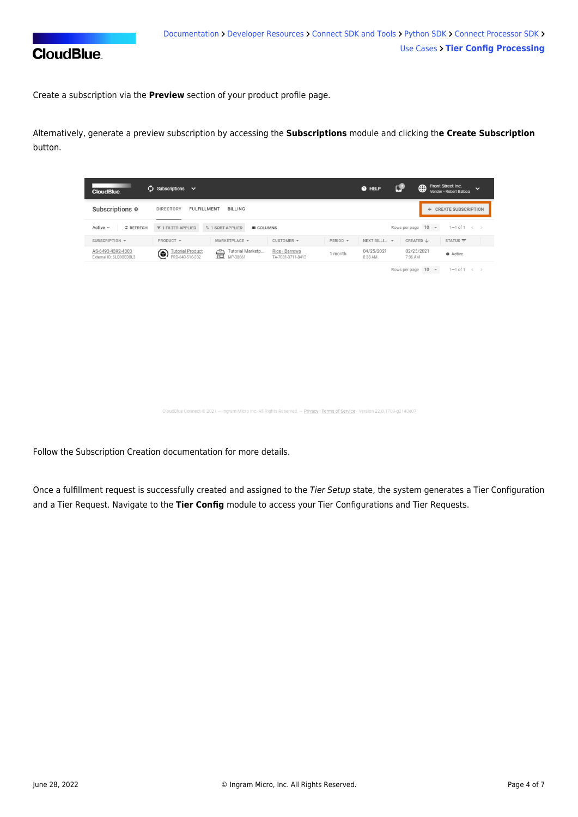

Create a subscription via the **Preview** section of your product profile page.

Alternatively, generate a preview subscription by accessing the **Subscriptions** module and clicking th**e Create Subscription** button.

| <b>CloudBlue</b>                             | $\omega$ Subscriptions $\sim$                                                                                                          | СŦ<br>Front Street Inc.<br>⊕<br>@ HELP<br>$\checkmark$<br>Vendor · Robert Balboa |
|----------------------------------------------|----------------------------------------------------------------------------------------------------------------------------------------|----------------------------------------------------------------------------------|
| Subscriptions <sup>o</sup>                   | <b>DIRECTORY</b><br><b>FULFILLMENT</b><br><b>BILLING</b>                                                                               | + CREATE SUBSCRIPTION                                                            |
| Active $\sim$<br>C REFRESH                   | $\overline{7}$ 1 FILTER APPLIED<br><sup>1</sup> 1 SORT APPLIED<br><b>III</b> COLUMNS                                                   | Rows per page 10 -<br>$1-1$ of $1 \leq$                                          |
| SUBSCRIPTION -                               | PRODUCT -<br>MARKETPLACE -<br>$CUSTOMER$ $\rightarrow$<br>$PERIOD \rightarrow$                                                         | NEXT BILLI ~<br>STATUS $\equiv$<br>CREATED $\downarrow$                          |
| AS-6493-4392-4303<br>External ID: 6LO0GED8L3 | <b>Tutorial Product</b><br>Rice - Barrows<br>Tutorial Marketp<br>壸<br>⋐<br>1 month<br>PRD-640-516-332<br>MP-38661<br>TA-7031-3711-8413 | 04/25/2021<br>02/25/2021<br>Active<br>8:38 AM<br>7:36 AM                         |

Rows per page  $10 \sim 1 - 1$  of  $1 \leq x$ 

ct © 2021 — Ingram Micro Inc. All Rights Reserved. — <u>Privacy</u> | <u>Terms of Service</u> - Version 22.0.1709-g0140e07

Follow the [Subscription Creation](https://connect.cloudblue.com/community/modules/subscriptions/subscription-creation/) documentation for more details.

Once a fulfillment request is successfully created and assigned to the Tier Setup state, the system generates a Tier Configuration and a Tier Request. Navigate to the **Tier Config** module to access your Tier Configurations and Tier Requests.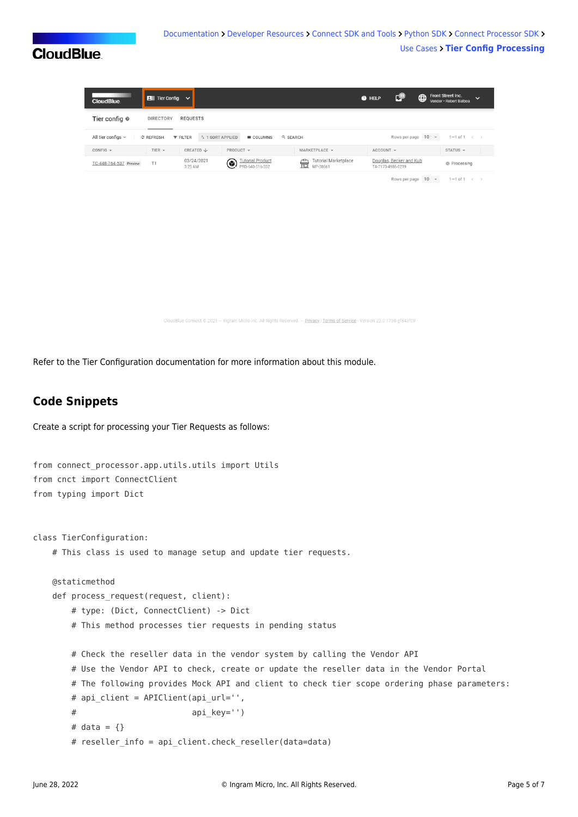| <b>CloudBlue</b>         | $\boxed{2}$ Tier Config $\rightarrow$ |                                                |                                                 |                                                               | @ HELP    | ГW                                           | ⊕ | Front Street Inc.<br>Vendor · Robert Balboa | $\checkmark$ |
|--------------------------|---------------------------------------|------------------------------------------------|-------------------------------------------------|---------------------------------------------------------------|-----------|----------------------------------------------|---|---------------------------------------------|--------------|
| Tier config <sup>®</sup> | <b>DIRECTORY</b>                      | <b>REQUESTS</b>                                |                                                 |                                                               |           |                                              |   |                                             |              |
| All tier configs $\sim$  | C REFRESH                             | <sup>1</sup> 1 SORT APPLIED<br><b>F FILTER</b> | <b>III</b> COLUMNS                              | Q SEARCH                                                      |           | Rows per page 10 -                           |   | $1 - 1$ of $1 \leq$                         |              |
| $CONFIG =$               | TIER $\sim$                           | CREATED J                                      | PRODUCT -                                       | MARKETPLACE -                                                 | ACCOUNT - |                                              |   | STATUS                                      |              |
| TC-448-764-537 Preview   | T1                                    | 03/24/2021<br>3:25 AM                          | <b>Tutorial Product</b><br>۱<br>PRD-640-516-332 | <b>Tutorial Marketplace</b><br>$\hat{\mathbb{E}}$<br>MP-38661 |           | Douglas, Becker and Kub<br>TA-7173-4986-0219 |   | <b>O</b> Processing                         |              |

Rows per page  $10 \rightarrow 1-1$  of  $1 \leftarrow$ 

.<br>Blue Connect © 2021 — Ingram Micro Inc. All Rights Reserved. — Privacy | Terms of Service - Version 22.0.1738-gf843fc9

Refer to the [Tier Configuration](https://connect.cloudblue.com/community/modules/tier-config/) documentation for more information about this module.

### **Code Snippets**

Create a script for processing your Tier Requests as follows:

```
from connect processor.app.utils.utils import Utils
from cnct import ConnectClient
from typing import Dict
class TierConfiguration:
    # This class is used to manage setup and update tier requests.
    @staticmethod
   def process request(request, client):
        # type: (Dict, ConnectClient) -> Dict
        # This method processes tier requests in pending status
        # Check the reseller data in the vendor system by calling the Vendor API
        # Use the Vendor API to check, create or update the reseller data in the Vendor Portal
        # The following provides Mock API and client to check tier scope ordering phase parameters:
       # api client = APIClient(api url='',
       # api key='')
       # data = \{\}# reseller info = api client.check reseller(data=data)
```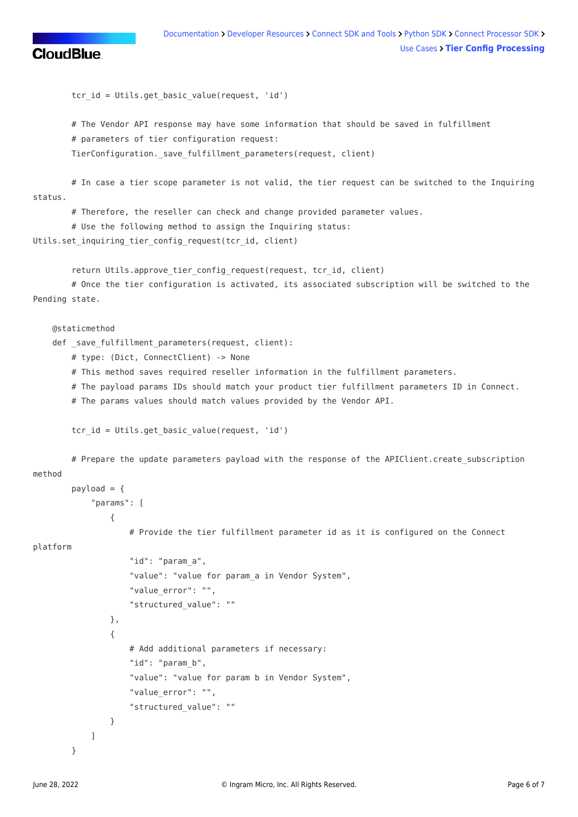```
tcr id = Utils.get basic value(request, 'id')
        # The Vendor API response may have some information that should be saved in fulfillment
        # parameters of tier configuration request:
       TierConfiguration. save fulfillment parameters(request, client)
        # In case a tier scope parameter is not valid, the tier request can be switched to the Inquiring
status.
        # Therefore, the reseller can check and change provided parameter values.
        # Use the following method to assign the Inquiring status:
Utils.set_inquiring_tier_config_request(tcr_id, client)
        return Utils.approve_tier_config_request(request, tcr_id, client)
        # Once the tier configuration is activated, its associated subscription will be switched to the
Pending state.
    @staticmethod
   def save fulfillment parameters(request, client):
        # type: (Dict, ConnectClient) -> None
        # This method saves required reseller information in the fulfillment parameters.
        # The payload params IDs should match your product tier fulfillment parameters ID in Connect.
        # The params values should match values provided by the Vendor API.
       tcr id = Utils.get basic value(request, 'id')
       # Prepare the update parameters payload with the response of the APIClient.create subscription
method
       payload = \{ "params": [
\{ # Provide the tier fulfillment parameter id as it is configured on the Connect
platform
                    "id": "param_a",
                    "value": "value for param_a in Vendor System",
                    "value_error": "",
                    "structured_value": ""
                },
\{ # Add additional parameters if necessary:
                    "id": "param_b",
                    "value": "value for param b in Vendor System",
                    "value_error": "",
                    "structured_value": ""
 }
 ]
        }
```